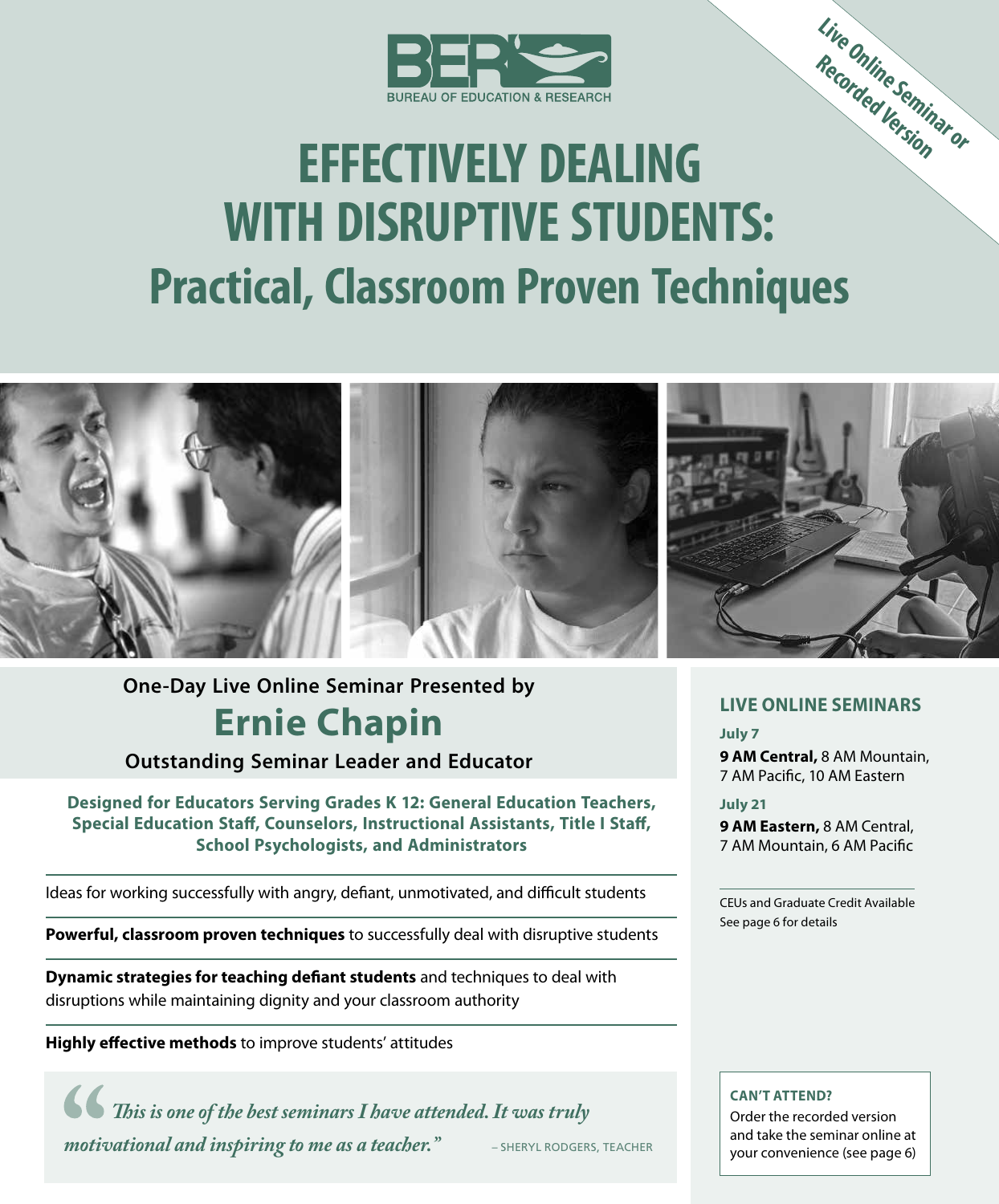

# **Live Online Seminar or Recorded Version EFFECTIVELY DEALING WITH DISRUPTIVE STUDENTS: Practical, Classroom Proven Techniques**



# **One-Day Live Online Seminar Presented by Ernie Chapin**

**Outstanding Seminar Leader and Educator**

**Designed for Educators Serving Grades K 12: General Education Teachers, Special Education Staff, Counselors, Instructional Assistants, Title I Staff, School Psychologists, and Administrators**

Ideas for working successfully with angry, defiant, unmotivated, and difficult students

**Powerful, classroom proven techniques** to successfully deal with disruptive students

**Dynamic strategies for teaching defiant students** and techniques to deal with disruptions while maintaining dignity and your classroom authority

**Highly effective methods** to improve students' attitudes

*This is one of the best seminars I have attended. It was truly motivational and inspiring to me as a teacher.*" **–** SHERYL RODGERS, TEACHER

#### **LIVE ONLINE SEMINARS**

**July 7 9 AM Central,** 8 AM Mountain, 7 AM Pacific, 10 AM Eastern

**July 21**

**9 AM Eastern,** 8 AM Central, 7 AM Mountain, 6 AM Pacific

CEUs and Graduate Credit Available See page 6 for details

#### **CAN'T ATTEND?**

Order the recorded version and take the seminar online at your convenience (see page 6)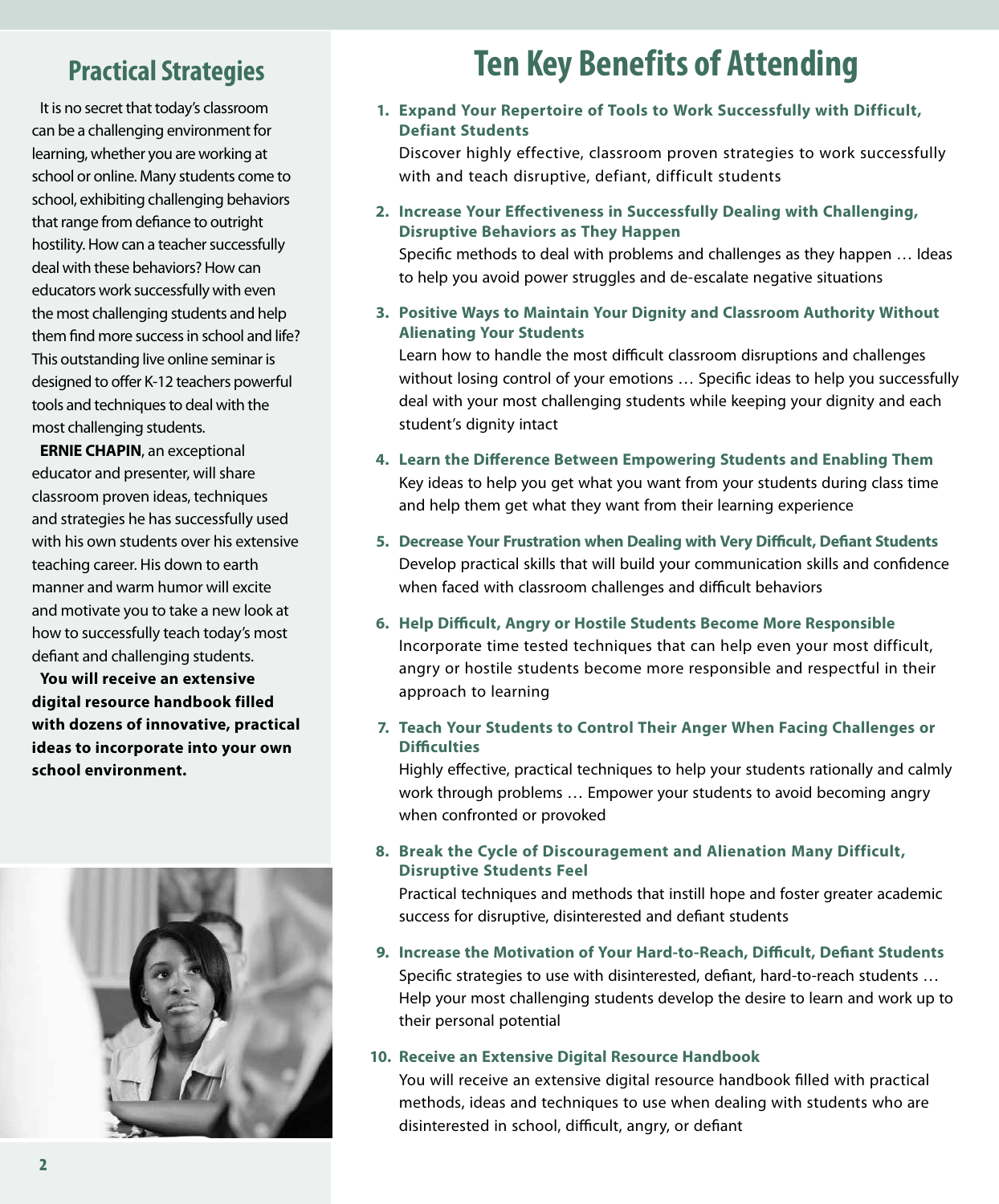### **Practical Strategies**

It is no secret that today's classroom can be a challenging environment for learning, whether you are working at school or online. Many students come to school, exhibiting challenging behaviors that range from defiance to outright hostility. How can a teacher successfully deal with these behaviors? How can educators work successfully with even the most challenging students and help them find more success in school and life? This outstanding live online seminar is designed to offer K-12 teachers powerful tools and techniques to deal with the most challenging students.

**ERNIE CHAPIN**, an exceptional educator and presenter, will share classroom proven ideas, techniques and strategies he has successfully used with his own students over his extensive teaching career. His down to earth manner and warm humor will excite and motivate you to take a new look at how to successfully teach today's most defiant and challenging students.

**You will receive an extensive digital resource handbook filled with dozens of innovative, practical ideas to incorporate into your own school environment.**



# **Ten Key Benefits of Attending**

**1. Expand Your Repertoire of Tools to Work Successfully with Difficult, Defiant Students**

Discover highly effective, classroom proven strategies to work successfully with and teach disruptive, defiant, difficult students

**2. Increase Your Effectiveness in Successfully Dealing with Challenging, Disruptive Behaviors as They Happen**

Specific methods to deal with problems and challenges as they happen … Ideas to help you avoid power struggles and de-escalate negative situations

**3. Positive Ways to Maintain Your Dignity and Classroom Authority Without Alienating Your Students**

Learn how to handle the most difficult classroom disruptions and challenges without losing control of your emotions … Specific ideas to help you successfully deal with your most challenging students while keeping your dignity and each student's dignity intact

- **4. Learn the Difference Between Empowering Students and Enabling Them** Key ideas to help you get what you want from your students during class time and help them get what they want from their learning experience
- **5. Decrease Your Frustration when Dealing with Very Difficult, Defiant Students** Develop practical skills that will build your communication skills and confidence when faced with classroom challenges and difficult behaviors
- **6. Help Difficult, Angry or Hostile Students Become More Responsible** Incorporate time tested techniques that can help even your most difficult, angry or hostile students become more responsible and respectful in their approach to learning
- **7. Teach Your Students to Control Their Anger When Facing Challenges or Difficulties**

Highly effective, practical techniques to help your students rationally and calmly work through problems … Empower your students to avoid becoming angry when confronted or provoked

**8. Break the Cycle of Discouragement and Alienation Many Difficult, Disruptive Students Feel**

Practical techniques and methods that instill hope and foster greater academic success for disruptive, disinterested and defiant students

**9. Increase the Motivation of Your Hard-to-Reach, Difficult, Defiant Students** Specific strategies to use with disinterested, defiant, hard-to-reach students … Help your most challenging students develop the desire to learn and work up to their personal potential

#### **10. Receive an Extensive Digital Resource Handbook**

You will receive an extensive digital resource handbook filled with practical methods, ideas and techniques to use when dealing with students who are disinterested in school, difficult, angry, or defiant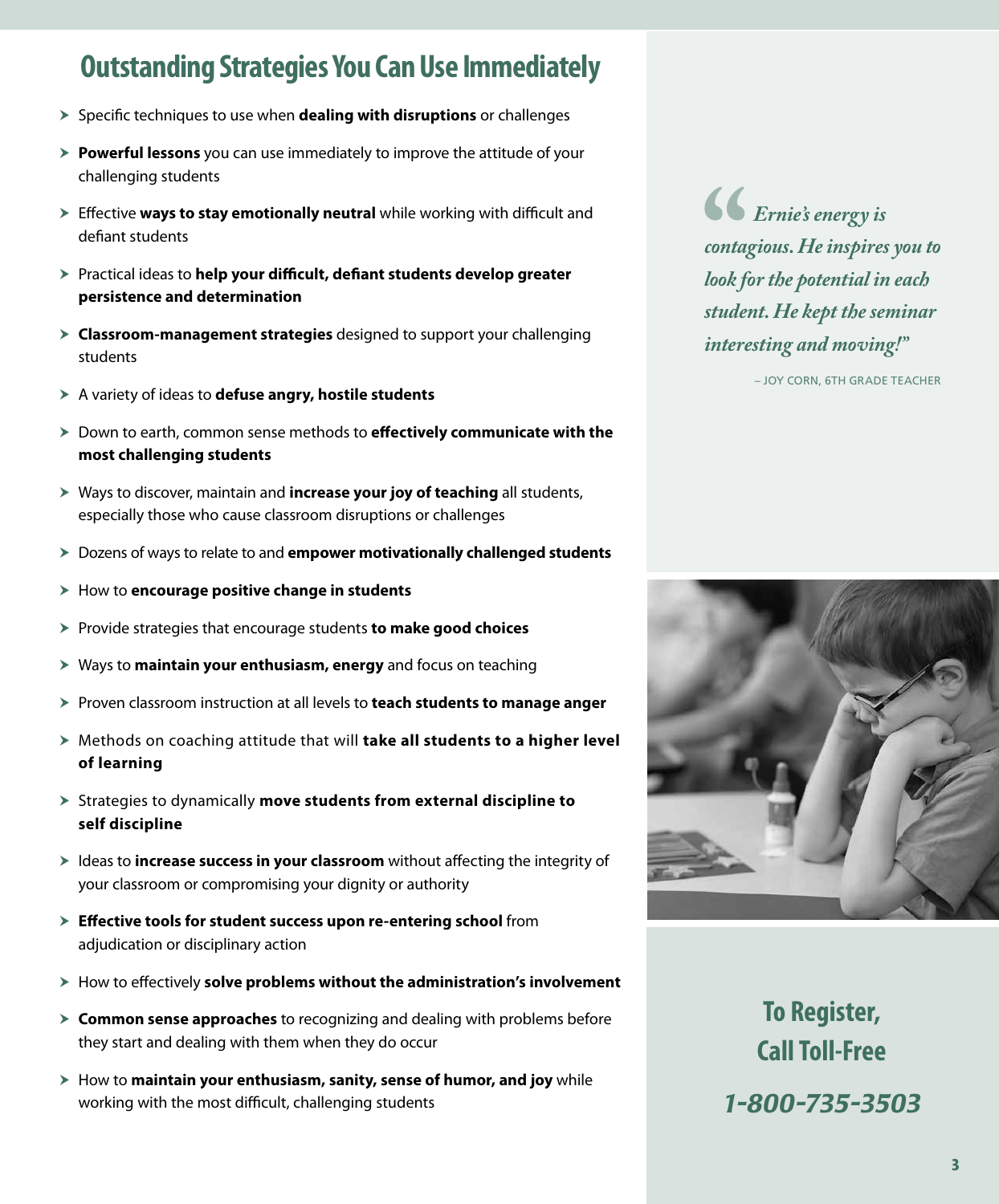### **Outstanding Strategies You Can Use Immediately**

- **>** Specific techniques to use when **dealing with disruptions** or challenges
- **> Powerful lessons** you can use immediately to improve the attitude of your challenging students
- **Effective ways to stay emotionally neutral** while working with difficult and defiant students
- **> Practical ideas to help your difficult, defiant students develop greater persistence and determination**
- h **Classroom-management strategies** designed to support your challenging students
- h A variety of ideas to **defuse angry, hostile students**
- > Down to earth, common sense methods to **effectively communicate with the most challenging students**
- h Ways to discover, maintain and **increase your joy of teaching** all students, especially those who cause classroom disruptions or challenges
- **EXEC** Dozens of ways to relate to and **empower motivationally challenged students**
- > How to **encourage positive change in students**
- **>** Provide strategies that encourage students **to make good choices**
- **X** Ways to **maintain your enthusiasm, energy** and focus on teaching
- **Figuren** classroom instruction at all levels to **teach students to manage anger**
- ▶ Methods on coaching attitude that will **take all students to a higher level of learning**
- h Strategies to dynamically **move students from external discipline to self discipline**
- **h** Ideas to **increase success in your classroom** without affecting the integrity of your classroom or compromising your dignity or authority
- > Effective tools for student success upon re-entering school from adjudication or disciplinary action
- **Examber How to effectively solve problems without the administration's involvement**
- **Example 3 Common sense approaches** to recognizing and dealing with problems before they start and dealing with them when they do occur
- **Examber 1** How to **maintain your enthusiasm, sanity, sense of humor, and joy** while working with the most difficult, challenging students

*Ernie's energy is contagious. He inspires you to look for the potential in each student. He kept the seminar interesting and moving!"*

– JOY CORN, 6TH GRADE TEACHER



**To Register, Call Toll-Free** *1-800-735-3503*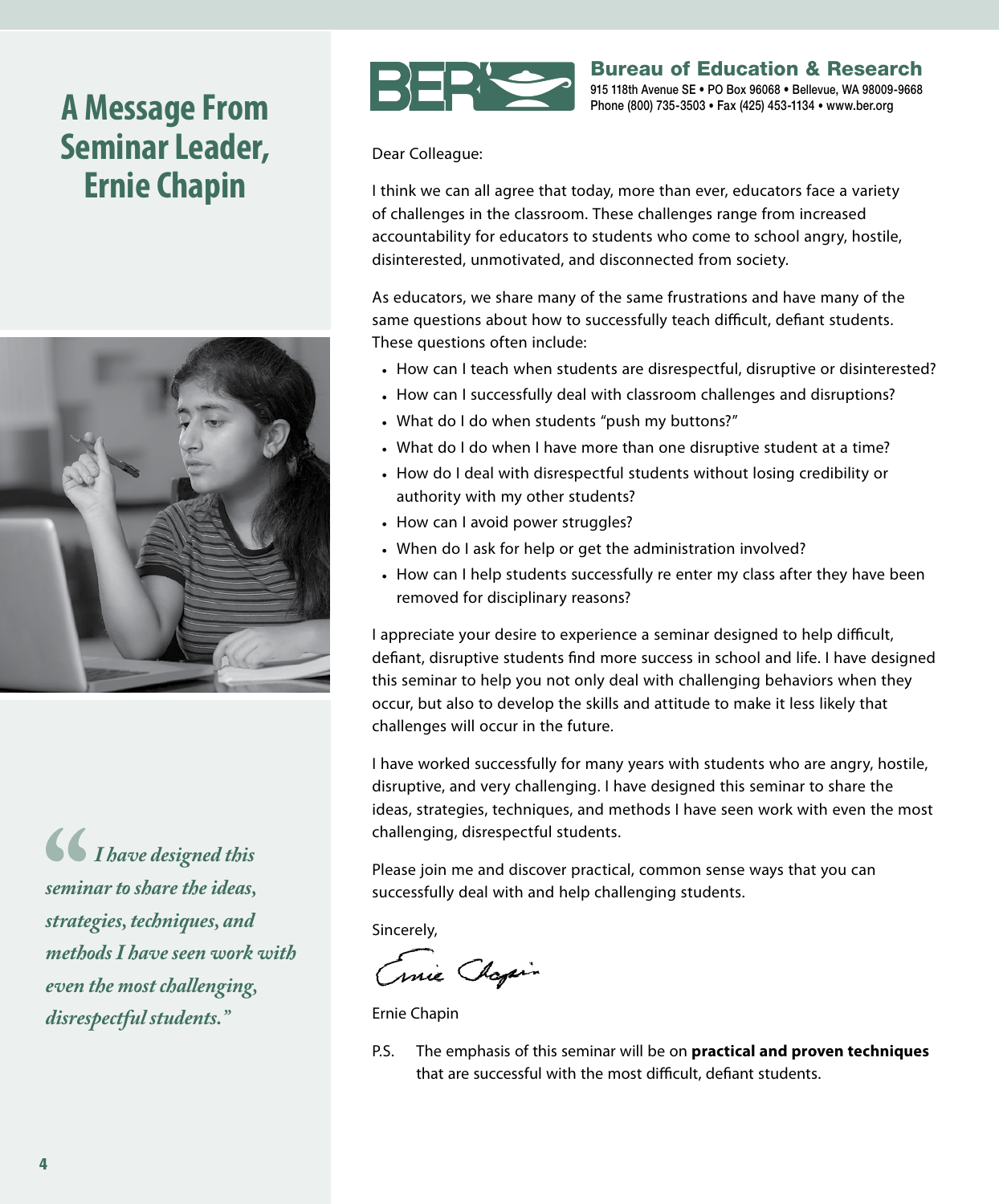# **A Message From Seminar Leader, Ernie Chapin**



*I have designed this seminar to share the ideas, strategies, techniques, and methods I have seen work with even the most challenging, disrespectful students."*



Bureau of Education & Research 915 118th Avenue SE • PO Box 96068 • Bellevue, WA 98009-9668 Phone (800) 735-3503 • Fax (425) 453-1134 • www.ber.org

Dear Colleague:

I think we can all agree that today, more than ever, educators face a variety of challenges in the classroom. These challenges range from increased accountability for educators to students who come to school angry, hostile, disinterested, unmotivated, and disconnected from society.

As educators, we share many of the same frustrations and have many of the same questions about how to successfully teach difficult, defiant students. These questions often include:

- How can I teach when students are disrespectful, disruptive or disinterested?
- How can I successfully deal with classroom challenges and disruptions?
- What do I do when students "push my buttons?"
- What do I do when I have more than one disruptive student at a time?
- How do I deal with disrespectful students without losing credibility or authority with my other students?
- How can I avoid power struggles?
- When do I ask for help or get the administration involved?
- How can I help students successfully re enter my class after they have been removed for disciplinary reasons?

I appreciate your desire to experience a seminar designed to help difficult, defiant, disruptive students find more success in school and life. I have designed this seminar to help you not only deal with challenging behaviors when they occur, but also to develop the skills and attitude to make it less likely that challenges will occur in the future.

I have worked successfully for many years with students who are angry, hostile, disruptive, and very challenging. I have designed this seminar to share the ideas, strategies, techniques, and methods I have seen work with even the most challenging, disrespectful students.

Please join me and discover practical, common sense ways that you can successfully deal with and help challenging students.

Sincerely,

Cruie Chapin

Ernie Chapin

P.S. The emphasis of this seminar will be on **practical and proven techniques** that are successful with the most difficult, defiant students.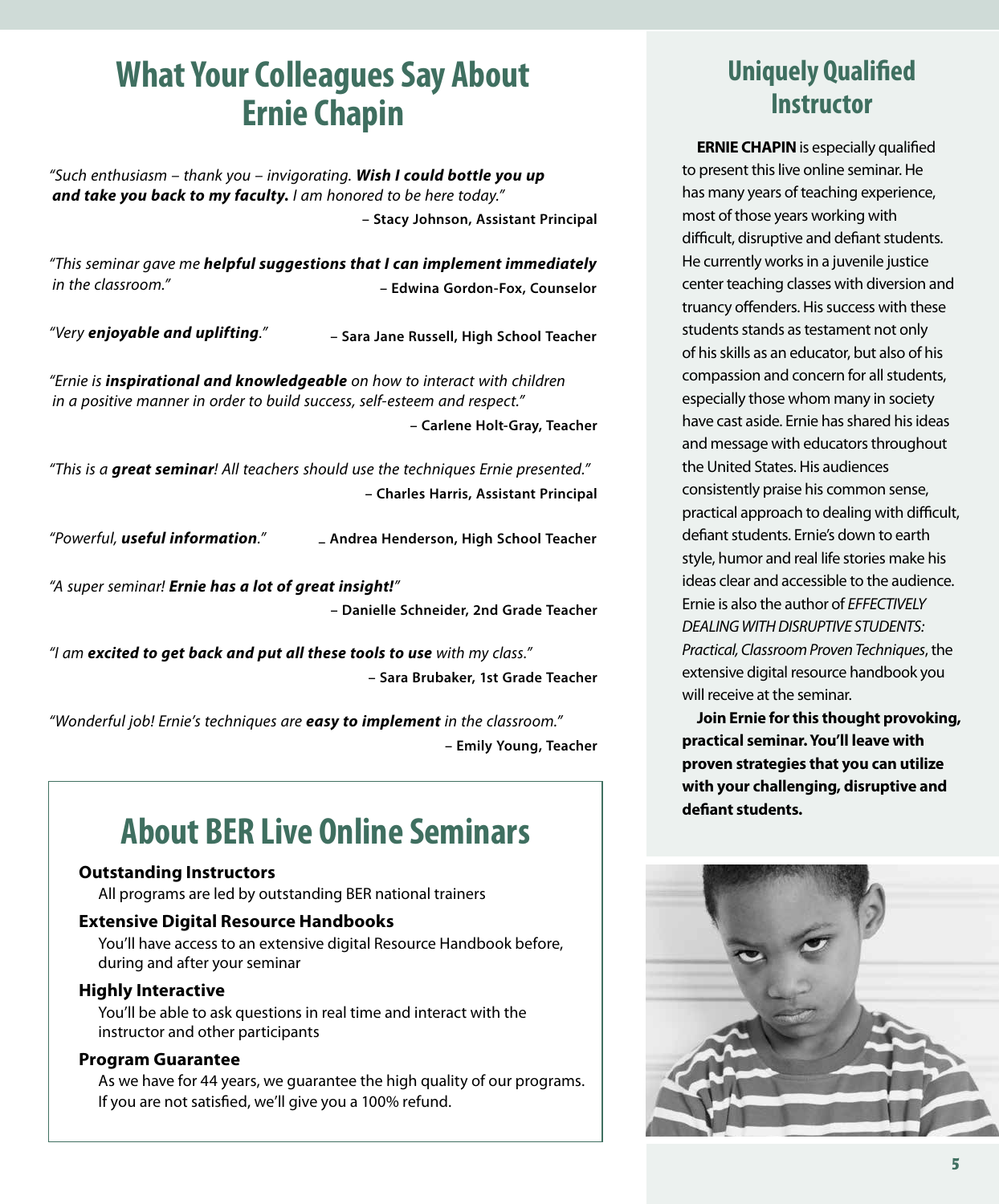# **What Your Colleagues Say About Ernie Chapin**

*"Such enthusiasm – thank you – invigorating. Wish I could bottle you up and take you back to my faculty. I am honored to be here today."* **– Stacy Johnson, Assistant Principal**

*"This seminar gave me helpful suggestions that I can implement immediately in the classroom."* **– Edwina Gordon-Fox, Counselor**

*"Very enjoyable and uplifting."* **– Sara Jane Russell, High School Teacher**

*"Ernie is inspirational and knowledgeable on how to interact with children in a positive manner in order to build success, self‑esteem and respect."*

**– Carlene Holt-Gray, Teacher**

*"This is a great seminar! All teachers should use the techniques Ernie presented."* **– Charles Harris, Assistant Principal**

*"Powerful, useful information."* **– Andrea Henderson, High School Teacher**

*"A super seminar! Ernie has a lot of great insight!"* **– Danielle Schneider, 2nd Grade Teacher**

*"I am excited to get back and put all these tools to use with my class."* **– Sara Brubaker, 1st Grade Teacher**

*"Wonderful job! Ernie's techniques are easy to implement in the classroom."* **– Emily Young, Teacher**

# **About BER Live Online Seminars**

#### **Outstanding Instructors**

All programs are led by outstanding BER national trainers

#### **Extensive Digital Resource Handbooks**

You'll have access to an extensive digital Resource Handbook before, during and after your seminar

#### **Highly Interactive**

You'll be able to ask questions in real time and interact with the instructor and other participants

#### **Program Guarantee**

As we have for 44 years, we guarantee the high quality of our programs. If you are not satisfied, we'll give you a 100% refund.

### **Uniquely Qualified Instructor**

**ERNIE CHAPIN** is especially qualified to present this live online seminar. He has many years of teaching experience, most of those years working with difficult, disruptive and defiant students. He currently works in a juvenile justice center teaching classes with diversion and truancy offenders. His success with these students stands as testament not only of his skills as an educator, but also of his compassion and concern for all students, especially those whom many in society have cast aside. Ernie has shared his ideas and message with educators throughout the United States. His audiences consistently praise his common sense, practical approach to dealing with difficult, defiant students. Ernie's down to earth style, humor and real life stories make his ideas clear and accessible to the audience. Ernie is also the author of *EFFECTIVELY DEALING WITH DISRUPTIVE STUDENTS: Practical, Classroom Proven Techniques*, the extensive digital resource handbook you will receive at the seminar.

**Join Ernie for this thought provoking, practical seminar. You'll leave with proven strategies that you can utilize with your challenging, disruptive and defiant students.**

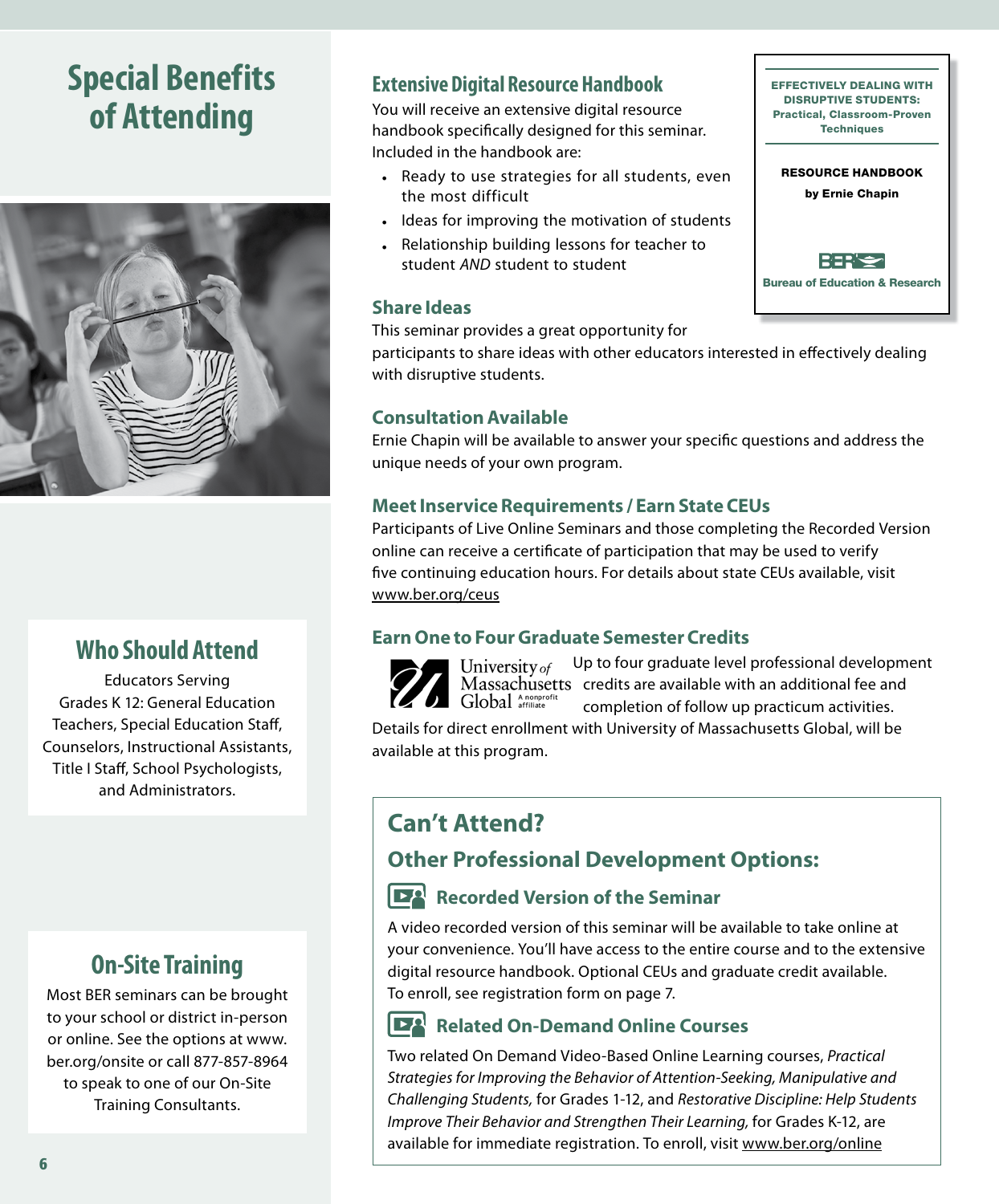# **Special Benefits of Attending**



### **Who Should Attend**

Educators Serving Grades K 12: General Education Teachers, Special Education Staff, Counselors, Instructional Assistants, Title I Staff, School Psychologists, and Administrators.

### **On‑Site Training**

Most BER seminars can be brought to your school or district in-person or online. See the options at www. ber.org/onsite or call 877-857-8964 to speak to one of our On-Site Training Consultants.

#### **Extensive Digital Resource Handbook**

You will receive an extensive digital resource handbook specifically designed for this seminar. Included in the handbook are:

- Ready to use strategies for all students, even the most difficult
- Ideas for improving the motivation of students
- Relationship building lessons for teacher to student *AND* student to student

#### **Share Ideas**

This seminar provides a great opportunity for

participants to share ideas with other educators interested in effectively dealing with disruptive students.

#### **Consultation Available**

Ernie Chapin will be available to answer your specific questions and address the unique needs of your own program.

#### **Meet Inservice Requirements / Earn State CEUs**

Participants of Live Online Seminars and those completing the Recorded Version online can receive a certificate of participation that may be used to verify five continuing education hours. For details about state CEUs available, visit www.ber.org/ceus

#### **Earn One to Four Graduate Semester Credits**

Up to four graduate level professional development University of Massachusetts credits are available with an additional fee and Global Anonprofit completion of follow up practicum activities.

Details for direct enrollment with University of Massachusetts Global, will be available at this program.

### **Can't Attend?**

#### **Other Professional Development Options:**

#### **Recorded Version of the Seminar**

A video recorded version of this seminar will be available to take online at your convenience. You'll have access to the entire course and to the extensive digital resource handbook. Optional CEUs and graduate credit available. To enroll, see registration form on page 7.

#### $\mathbf{R}$ **Related On-Demand Online Courses**

Two related On Demand Video-Based Online Learning courses, *Practical Strategies for Improving the Behavior of Attention-Seeking, Manipulative and Challenging Students,* for Grades 1-12, and *Restorative Discipline: Help Students Improve Their Behavior and Strengthen Their Learning,* for Grades K-12, are available for immediate registration. To enroll, visit www.ber.org/online

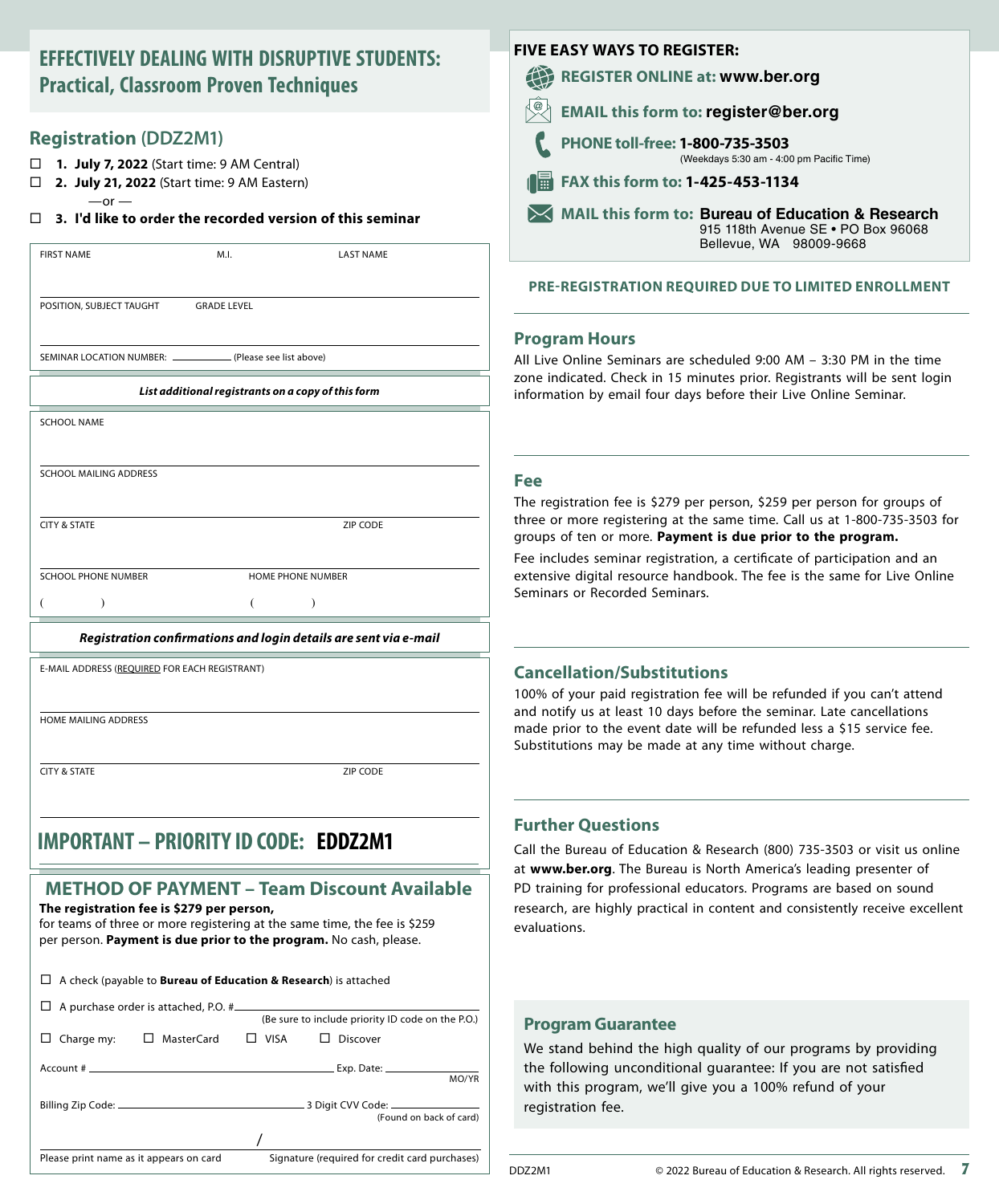#### **EFFECTIVELY DEALING WITH DISRUPTIVE STUDENTS: Practical, Classroom Proven Techniques**

#### **Registration (DDZ2M1)**

- **1. July 7, 2022** (Start time: 9 AM Central)
- **2. July 21, 2022** (Start time: 9 AM Eastern)
	- $-$ or  $-$

#### **3. I'd like to order the recorded version of this seminar**

| <b>FIRST NAME</b>                                                | M.I.               | <b>LAST NAME</b>  |  |  |
|------------------------------------------------------------------|--------------------|-------------------|--|--|
|                                                                  |                    |                   |  |  |
| POSITION, SUBJECT TAUGHT                                         | <b>GRADE LEVEL</b> |                   |  |  |
|                                                                  |                    |                   |  |  |
| SEMINAR LOCATION NUMBER: ______________ (Please see list above)  |                    |                   |  |  |
| List additional registrants on a copy of this form               |                    |                   |  |  |
| <b>SCHOOL NAME</b>                                               |                    |                   |  |  |
|                                                                  |                    |                   |  |  |
| SCHOOL MAILING ADDRESS                                           |                    |                   |  |  |
|                                                                  |                    |                   |  |  |
| <b>CITY &amp; STATE</b>                                          |                    | ZIP CODE          |  |  |
|                                                                  |                    |                   |  |  |
| <b>SCHOOL PHONE NUMBER</b>                                       |                    | HOME PHONE NUMBER |  |  |
|                                                                  |                    |                   |  |  |
| Registration confirmations and login details are sent via e-mail |                    |                   |  |  |

E-MAIL ADDRESS (REQUIRED FOR EACH REGISTRANT)

HOME MAILING ADDRESS

**CITY & STATE ZIP CODE** 

## **IMPORTANT – PRIORITY ID CODE: EDDZ2M1**

#### **METHOD OF PAYMENT – Team Discount Available**

**The registration fee is \$279 per person,** for teams of three or more registering at the same time, the fee is \$259 per person. **Payment is due prior to the program.** No cash, please.

| $\Box$ A check (payable to <b>Bureau of Education &amp; Research</b> ) is attached        |  |                                                   |
|-------------------------------------------------------------------------------------------|--|---------------------------------------------------|
|                                                                                           |  | (Be sure to include priority ID code on the P.O.) |
| $\Box$ MasterCard<br>Charge my:                                                           |  | $\Box$ VISA $\Box$ Discover                       |
|                                                                                           |  | MO/YR                                             |
|                                                                                           |  | (Found on back of card)                           |
|                                                                                           |  |                                                   |
| Signature (required for credit card purchases)<br>Please print name as it appears on card |  |                                                   |

| <b>FIVE EASY WAYS TO REGISTER:</b> |                                                                                                                    |  |  |
|------------------------------------|--------------------------------------------------------------------------------------------------------------------|--|--|
|                                    | <b>REGISTER ONLINE at: www.ber.org</b>                                                                             |  |  |
|                                    | <b>EMAIL this form to: register@ber.org</b>                                                                        |  |  |
|                                    | PHONE toll-free: 1-800-735-3503<br>(Weekdays 5:30 am - 4:00 pm Pacific Time)                                       |  |  |
| Ħ                                  | FAX this form to: 1-425-453-1134                                                                                   |  |  |
|                                    | MAIL this form to: Bureau of Education & Research<br>915 118th Avenue SE . PO Box 96068<br>Bellevue, WA 98009-9668 |  |  |
|                                    |                                                                                                                    |  |  |

#### **PRE-REGISTRATION REQUIRED DUE TO LIMITED ENROLLMENT**

#### **Program Hours**

All Live Online Seminars are scheduled 9:00 AM – 3:30 PM in the time zone indicated. Check in 15 minutes prior. Registrants will be sent login information by email four days before their Live Online Seminar.

#### **Fee**

The registration fee is \$279 per person, \$259 per person for groups of three or more registering at the same time. Call us at 1-800-735-3503 for groups of ten or more. **Payment is due prior to the program.**

Fee includes seminar registration, a certificate of participation and an extensive digital resource handbook. The fee is the same for Live Online Seminars or Recorded Seminars.

#### **Cancellation/Substitutions**

100% of your paid registration fee will be refunded if you can't attend and notify us at least 10 days before the seminar. Late cancellations made prior to the event date will be refunded less a \$15 service fee. Substitutions may be made at any time without charge.

#### **Further Questions**

Call the Bureau of Education & Research (800) 735-3503 or visit us online at **www.ber.org**. The Bureau is North America's leading presenter of PD training for professional educators. Programs are based on sound research, are highly practical in content and consistently receive excellent evaluations.

#### **Program Guarantee**

We stand behind the high quality of our programs by providing the following unconditional guarantee: If you are not satisfied with this program, we'll give you a 100% refund of your registration fee.